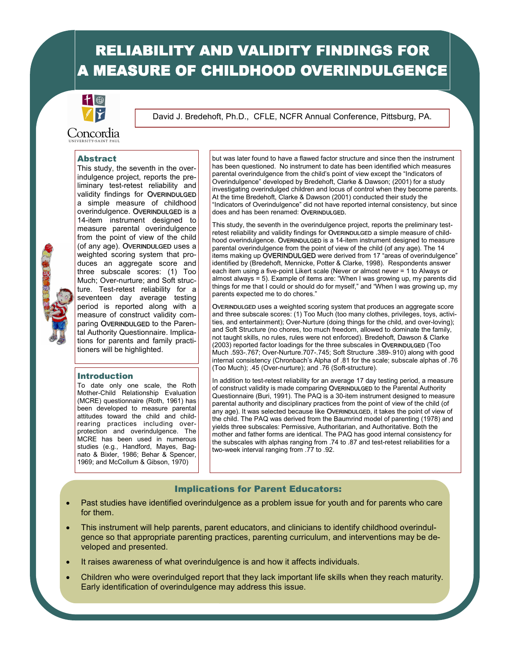# RELIABILITY AND VALIDITY FINDINGS FOR **A MEASURE OF CHILDHOOD OVERINDULGENCE**



David J. Bredehoft, Ph.D., CFLE, NCFR Annual Conference, Pittsburg, PA.

Concordia

#### Abstract

This study, the seventh in the overindulgence project, reports the preliminary test-retest reliability and validity findings for OVERINDULGED a simple measure of childhood overindulgence. OVERINDULGED is a 14-item instrument designed to measure parental overindulgence from the point of view of the child (of any age). OVERINDULGED uses a weighted scoring system that produces an aggregate score and three subscale scores: (1) Too Much; Over-nurture; and Soft structure. Test-retest reliability for a seventeen day average testing period is reported along with a measure of construct validity comparing OVERINDULGED to the Parental Authority Questionnaire. Implications for parents and family practitioners will be highlighted.

#### Introduction

To date only one scale, the Roth Mother-Child Relationship Evaluation (MCRE) questionnaire (Roth, 1961) has been developed to measure parental attitudes toward the child and childrearing practices including overprotection and overindulgence. The MCRE has been used in numerous studies (e.g., Handford, Mayes, Bagnato & Bixler, 1986; Behar & Spencer, 1969; and McCollum & Gibson, 1970)

but was later found to have a flawed factor structure and since then the instrument has been questioned. No instrument to date has been identified which measures parental overindulgence from the child's point of view except the "Indicators of Overindulgence" developed by Bredehoft, Clarke & Dawson; (2001) for a study investigating overindulged children and locus of control when they become parents. At the time Bredehoft, Clarke & Dawson (2001) conducted their study the "Indicators of Overindulgence" did not have reported internal consistency, but since does and has been renamed: OVERINDULGED.

This study, the seventh in the overindulgence project, reports the preliminary testretest reliability and validity findings for OVERINDULGED a simple measure of childhood overindulgence. OVERINDULGED is a 14-item instrument designed to measure parental overindulgence from the point of view of the child (of any age). The 14 items making up OVERINDULGED were derived from 17 "areas of overindulgence" identified by (Bredehoft, Mennicke, Potter & Clarke, 1998). Respondents answer each item using a five-point Likert scale (Never or almost never = 1 to Always or almost always = 5). Example of items are: "When I was growing up, my parents did things for me that I could or should do for myself," and "When I was growing up, my parents expected me to do chores."

OVERINDULGED uses a weighted scoring system that produces an aggregate score and three subscale scores: (1) Too Much (too many clothes, privileges, toys, activities, and entertainment); Over-Nurture (doing things for the child, and over-loving); and Soft Structure (no chores, too much freedom, allowed to dominate the family, not taught skills, no rules, rules were not enforced). Bredehoft, Dawson & Clarke (2003) reported factor loadings for the three subscales in OVERINDULGED (Too Much .593-.767; Over-Nurture.707-.745; Soft Structure .389-.910) along with good internal consistency (Chronbach's Alpha of .81 for the scale; subscale alphas of .76 (Too Much); .45 (Over-nurture); and .76 (Soft-structure).

In addition to test-retest reliability for an average 17 day testing period, a measure of construct validity is made comparing OVERINDULGED to the Parental Authority Questionnaire (Buri, 1991). The PAQ is a 30-item instrument designed to measure parental authority and disciplinary practices from the point of view of the child (of any age). It was selected because like OVERINDULGED, it takes the point of view of the child. The PAQ was derived from the Baumrind model of parenting (1978) and yields three subscales: Permissive, Authoritarian, and Authoritative. Both the mother and father forms are identical. The PAQ has good internal consistency for the subscales with alphas ranging from .74 to .87 and test-retest reliabilities for a two-week interval ranging from .77 to .92.

#### Implications for Parent Educators:

- Past studies have identified overindulgence as a problem issue for youth and for parents who care for them.
- This instrument will help parents, parent educators, and clinicians to identify childhood overindulgence so that appropriate parenting practices, parenting curriculum, and interventions may be developed and presented.
- It raises awareness of what overindulgence is and how it affects individuals.
- Children who were overindulged report that they lack important life skills when they reach maturity. Early identification of overindulgence may address this issue.